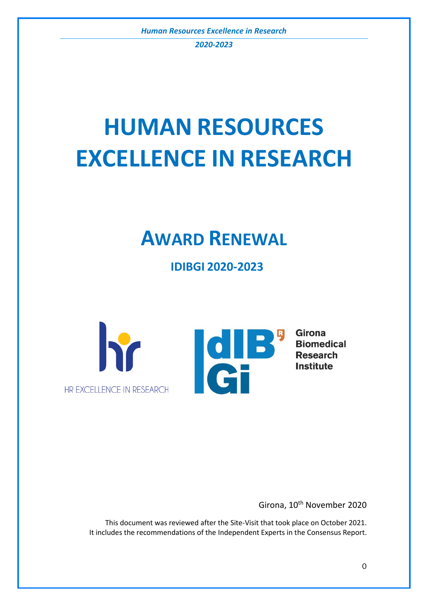*2020-2023*

# **HUMAN RESOURCES EXCELLENCE IN RESEARCH**

## **AWARD RENEWAL**

**IDIBGI 2020-2023**



Girona, 10<sup>th</sup> November 2020

This document was reviewed after the Site-Visit that took place on October 2021. It includes the recommendations of the Independent Experts in the Consensus Report.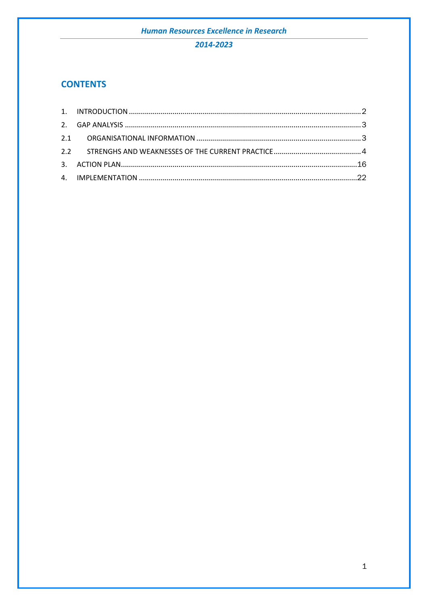## 2014-2023

## **CONTENTS**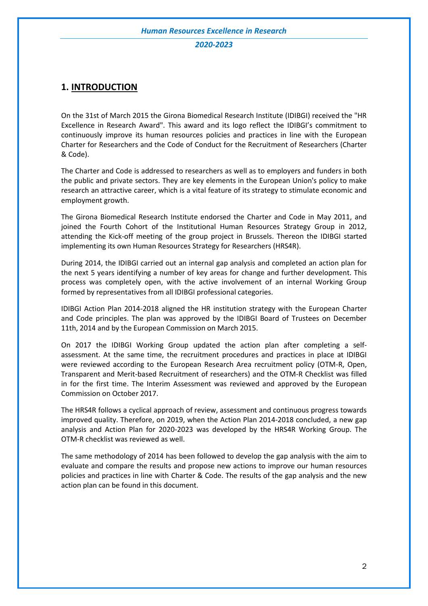#### *2020-2023*

## <span id="page-2-0"></span>**1. INTRODUCTION**

On the 31st of March 2015 the Girona Biomedical Research Institute (IDIBGI) received the "HR Excellence in Research Award". This award and its logo reflect the IDIBGI's commitment to continuously improve its human resources policies and practices in line with the European Charter for Researchers and the Code of Conduct for the Recruitment of Researchers (Charter & Code).

The Charter and Code is addressed to researchers as well as to employers and funders in both the public and private sectors. They are key elements in the European Union's policy to make research an attractive career, which is a vital feature of its strategy to stimulate economic and employment growth.

The Girona Biomedical Research Institute endorsed the Charter and Code in May 2011, and joined the Fourth Cohort of the Institutional Human Resources Strategy Group in 2012, attending the Kick-off meeting of the group project in Brussels. Thereon the IDIBGI started implementing its own Human Resources Strategy for Researchers (HRS4R).

During 2014, the IDIBGI carried out an internal gap analysis and completed an action plan for the next 5 years identifying a number of key areas for change and further development. This process was completely open, with the active involvement of an internal Working Group formed by representatives from all IDIBGI professional categories.

IDIBGI Action Plan 2014-2018 aligned the HR institution strategy with the European Charter and Code principles. The plan was approved by the IDIBGI Board of Trustees on December 11th, 2014 and by the European Commission on March 2015.

On 2017 the IDIBGI Working Group updated the action plan after completing a selfassessment. At the same time, the recruitment procedures and practices in place at IDIBGI were reviewed according to the European Research Area recruitment policy (OTM-R, Open, Transparent and Merit-based Recruitment of researchers) and the OTM-R Checklist was filled in for the first time. The Interim Assessment was reviewed and approved by the European Commission on October 2017.

The HRS4R follows a cyclical approach of review, assessment and continuous progress towards improved quality. Therefore, on 2019, when the Action Plan 2014-2018 concluded, a new gap analysis and Action Plan for 2020-2023 was developed by the HRS4R Working Group. The OTM-R checklist was reviewed as well.

The same methodology of 2014 has been followed to develop the gap analysis with the aim to evaluate and compare the results and propose new actions to improve our human resources policies and practices in line with Charter & Code. The results of the gap analysis and the new action plan can be found in this document.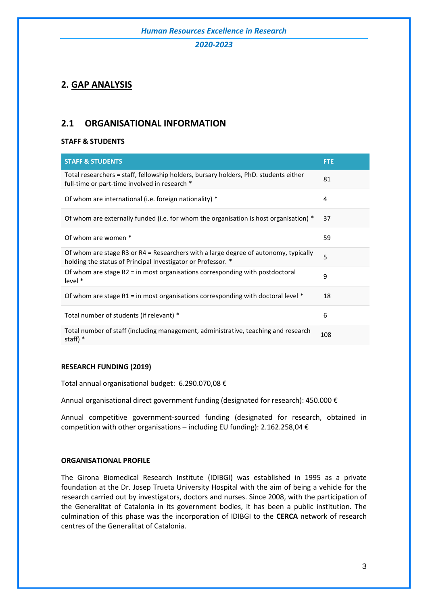#### *2020-2023*

## <span id="page-3-0"></span>**2. GAP ANALYSIS**

## <span id="page-3-1"></span>**2.1 ORGANISATIONAL INFORMATION**

#### **STAFF & STUDENTS**

| <b>STAFF &amp; STUDENTS</b>                                                                                                                         | <b>FTE</b> |
|-----------------------------------------------------------------------------------------------------------------------------------------------------|------------|
| Total researchers = staff, fellowship holders, bursary holders, PhD. students either<br>full-time or part-time involved in research *               | 81         |
| Of whom are international (i.e. foreign nationality) *                                                                                              | 4          |
| Of whom are externally funded (i.e. for whom the organisation is host organisation) *                                                               | 37         |
| Of whom are women *                                                                                                                                 | 59         |
| Of whom are stage R3 or R4 = Researchers with a large degree of autonomy, typically<br>holding the status of Principal Investigator or Professor. * | 5          |
| Of whom are stage $R2 = in$ most organisations corresponding with postdoctoral<br>level *                                                           | 9          |
| Of whom are stage R1 = in most organisations corresponding with doctoral level $*$                                                                  | 18         |
| Total number of students (if relevant) *                                                                                                            | 6          |
| Total number of staff (including management, administrative, teaching and research<br>staff) *                                                      | 108        |

#### **RESEARCH FUNDING (2019)**

Total annual organisational budget: 6.290.070,08 €

Annual organisational direct government funding (designated for research): 450.000 €

Annual competitive government-sourced funding (designated for research, obtained in competition with other organisations – including EU funding): 2.162.258,04 €

#### **ORGANISATIONAL PROFILE**

The Girona Biomedical Research Institute (IDIBGI) was established in 1995 as a private foundation at the Dr. Josep Trueta University Hospital with the aim of being a vehicle for the research carried out by investigators, doctors and nurses. Since 2008, with the participation of the Generalitat of Catalonia in its government bodies, it has been a public institution. The culmination of this phase was the incorporation of IDIBGI to the **CERCA** network of research centres of the Generalitat of Catalonia.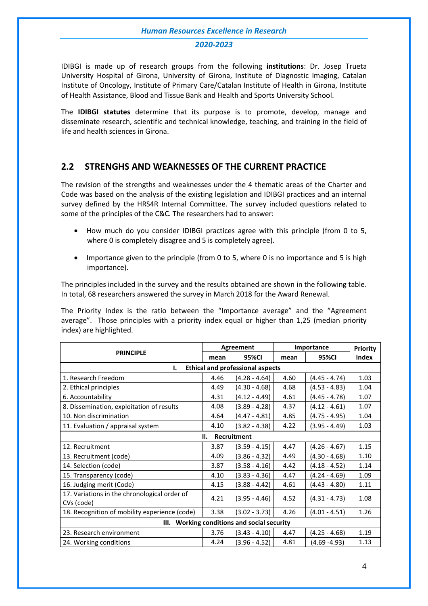#### *2020-2023*

IDIBGI is made up of research groups from the following **institutions**: Dr. Josep Trueta University Hospital of Girona, University of Girona, Institute of Diagnostic Imaging, Catalan Institute of Oncology, Institute of Primary Care/Catalan Institute of Health in Girona, Institute of Health Assistance, Blood and Tissue Bank and Health and Sports University School.

The **IDIBGI statutes** determine that its purpose is to promote, develop, manage and disseminate research, scientific and technical knowledge, teaching, and training in the field of life and health sciences in Girona.

## <span id="page-4-0"></span>**2.2 STRENGHS AND WEAKNESSES OF THE CURRENT PRACTICE**

The revision of the strengths and weaknesses under the 4 thematic areas of the Charter and Code was based on the analysis of the existing legislation and IDIBGI practices and an internal survey defined by the HRS4R Internal Committee. The survey included questions related to some of the principles of the C&C. The researchers had to answer:

- How much do you consider IDIBGI practices agree with this principle (from 0 to 5, where 0 is completely disagree and 5 is completely agree).
- Importance given to the principle (from 0 to 5, where 0 is no importance and 5 is high importance).

The principles included in the survey and the results obtained are shown in the following table. In total, 68 researchers answered the survey in March 2018 for the Award Renewal.

The Priority Index is the ratio between the "Importance average" and the "Agreement average". Those principles with a priority index equal or higher than 1,25 (median priority index) are highlighted.

|                                                            |      | Agreement       | Importance | Priority        |              |  |
|------------------------------------------------------------|------|-----------------|------------|-----------------|--------------|--|
| <b>PRINCIPLE</b>                                           | mean | 95%CI           | mean       | 95%CI           | <b>Index</b> |  |
| <b>Ethical and professional aspects</b><br>ı.              |      |                 |            |                 |              |  |
| 1. Research Freedom                                        | 4.46 | $(4.28 - 4.64)$ | 4.60       | $(4.45 - 4.74)$ | 1.03         |  |
| 2. Ethical principles                                      | 4.49 | $(4.30 - 4.68)$ | 4.68       | $(4.53 - 4.83)$ | 1.04         |  |
| 6. Accountability                                          | 4.31 | $(4.12 - 4.49)$ | 4.61       | $(4.45 - 4.78)$ | 1.07         |  |
| 8. Dissemination, exploitation of results                  | 4.08 | $(3.89 - 4.28)$ | 4.37       | $(4.12 - 4.61)$ | 1.07         |  |
| 10. Non discrimination                                     | 4.64 | $(4.47 - 4.81)$ | 4.85       | (4.75 - 4.95)   | 1.04         |  |
| 11. Evaluation / appraisal system                          | 4.10 | $(3.82 - 4.38)$ | 4.22       | $(3.95 - 4.49)$ | 1.03         |  |
| Recruitment<br>н.                                          |      |                 |            |                 |              |  |
| 12. Recruitment                                            | 3.87 | $(3.59 - 4.15)$ | 4.47       | $(4.26 - 4.67)$ | 1.15         |  |
| 13. Recruitment (code)                                     | 4.09 | $(3.86 - 4.32)$ | 4.49       | $(4.30 - 4.68)$ | 1.10         |  |
| 14. Selection (code)                                       | 3.87 | $(3.58 - 4.16)$ | 4.42       | $(4.18 - 4.52)$ | 1.14         |  |
| 15. Transparency (code)                                    | 4.10 | $(3.83 - 4.36)$ | 4.47       | (4.24 - 4.69)   | 1.09         |  |
| 16. Judging merit (Code)                                   | 4.15 | $(3.88 - 4.42)$ | 4.61       | (4.43 - 4.80)   | 1.11         |  |
| 17. Variations in the chronological order of<br>CVs (code) | 4.21 | $(3.95 - 4.46)$ | 4.52       | $(4.31 - 4.73)$ | 1.08         |  |
| 18. Recognition of mobility experience (code)              | 3.38 | $(3.02 - 3.73)$ | 4.26       | $(4.01 - 4.51)$ | 1.26         |  |
| III. Working conditions and social security                |      |                 |            |                 |              |  |
| 23. Research environment                                   | 3.76 | $(3.43 - 4.10)$ | 4.47       | $(4.25 - 4.68)$ | 1.19         |  |
| 24. Working conditions                                     | 4.24 | $(3.96 - 4.52)$ | 4.81       | (4.69 -4.93)    | 1.13         |  |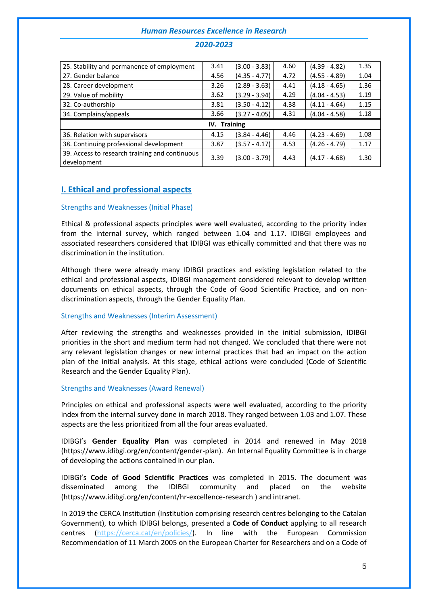## 25. Stability and permanence of employment | 3.41 | (3.00 - 3.83) | 4.60 | (4.39 - 4.82) | 1.35 27. Gender balance  $\begin{array}{|c|c|c|c|c|c|c|c|c|} \hline 4.56 & (4.35 & -4.77) & 4.72 & (4.55 & -4.89) & 1.04 \ \hline \end{array}$ 28. Career development 3.26 (2.89 - 3.63) 4.41 (4.18 - 4.65) 1.36 29. Value of mobility  $3.62 \left(3.29 - 3.94\right) \left(4.04 - 4.53\right) \left(1.19\right)$ 32. Co-authorship 1.15 (3.81 (3.50 - 4.12) 4.38 (4.11 - 4.64) 1.15 34. Complains/appeals 3.66 (3.27 - 4.05) 4.31 (4.04 - 4.58) 1.18 **IV. Training** 36. Relation with supervisors 4.15 (3.84 - 4.46) 4.46 (4.23 - 4.69) 1.08 38. Continuing professional development 3.87 (3.57 - 4.17) 4.53 (4.26 - 4.79) 1.17 39. Access to research training and continuous development  $\left[ \begin{array}{c|c} 3.39 & 3.39 \\ \hline \end{array} \right]$  (3.00 - 3.79) 4.43  $\left[ \begin{array}{c} 4.17 & -4.68 \\ \hline \end{array} \right]$  1.30

## *2020-2023*

## **I. Ethical and professional aspects**

#### Strengths and Weaknesses (Initial Phase)

Ethical & professional aspects principles were well evaluated, according to the priority index from the internal survey, which ranged between 1.04 and 1.17. IDIBGI employees and associated researchers considered that IDIBGI was ethically committed and that there was no discrimination in the institution.

Although there were already many IDIBGI practices and existing legislation related to the ethical and professional aspects, IDIBGI management considered relevant to develop written documents on ethical aspects, through the Code of Good Scientific Practice, and on nondiscrimination aspects, through the Gender Equality Plan.

#### Strengths and Weaknesses (Interim Assessment)

After reviewing the strengths and weaknesses provided in the initial submission, IDIBGI priorities in the short and medium term had not changed. We concluded that there were not any relevant legislation changes or new internal practices that had an impact on the action plan of the initial analysis. At this stage, ethical actions were concluded (Code of Scientific Research and the Gender Equality Plan).

#### Strengths and Weaknesses (Award Renewal)

Principles on ethical and professional aspects were well evaluated, according to the priority index from the internal survey done in march 2018. They ranged between 1.03 and 1.07. These aspects are the less prioritized from all the four areas evaluated.

IDIBGI's **Gender Equality Plan** was completed in 2014 and renewed in May 2018 (https://www.idibgi.org/en/content/gender-plan). An Internal Equality Committee is in charge of developing the actions contained in our plan.

IDIBGI's **Code of Good Scientific Practices** was completed in 2015. The document was disseminated among the IDIBGI community and placed on the website (https://www.idibgi.org/en/content/hr-excellence-research ) and intranet.

In 2019 the CERCA Institution (Institution comprising research centres belonging to the Catalan Government), to which IDIBGI belongs, presented a **Code of Conduct** applying to all research centres [\(https://cerca.cat/en/policies/\)](https://cerca.cat/en/policies/). In line with the European Commission Recommendation of 11 March 2005 on the European Charter for Researchers and on a Code of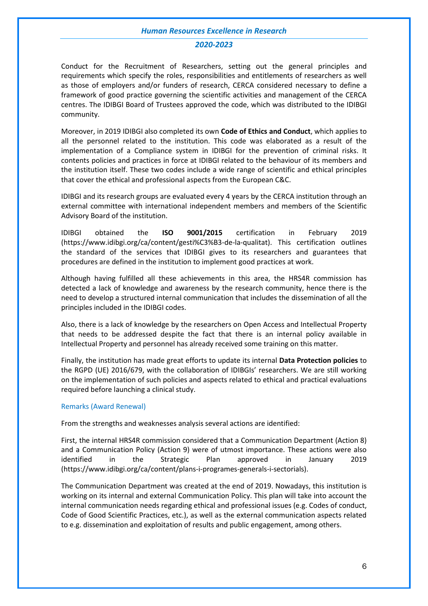#### *2020-2023*

Conduct for the Recruitment of Researchers, setting out the general principles and requirements which specify the roles, responsibilities and entitlements of researchers as well as those of employers and/or funders of research, CERCA considered necessary to define a framework of good practice governing the scientific activities and management of the CERCA centres. The IDIBGI Board of Trustees approved the code, which was distributed to the IDIBGI community.

Moreover, in 2019 IDIBGI also completed its own **Code of Ethics and Conduct**, which applies to all the personnel related to the institution. This code was elaborated as a result of the implementation of a Compliance system in IDIBGI for the prevention of criminal risks. It contents policies and practices in force at IDIBGI related to the behaviour of its members and the institution itself. These two codes include a wide range of scientific and ethical principles that cover the ethical and professional aspects from the European C&C.

IDIBGI and its research groups are evaluated every 4 years by the CERCA institution through an external committee with international independent members and members of the Scientific Advisory Board of the institution.

IDIBGI obtained the **ISO 9001/2015** certification in February 2019 (https://www.idibgi.org/ca/content/gesti%C3%B3-de-la-qualitat). This certification outlines the standard of the services that IDIBGI gives to its researchers and guarantees that procedures are defined in the institution to implement good practices at work.

Although having fulfilled all these achievements in this area, the HRS4R commission has detected a lack of knowledge and awareness by the research community, hence there is the need to develop a structured internal communication that includes the dissemination of all the principles included in the IDIBGI codes.

Also, there is a lack of knowledge by the researchers on Open Access and Intellectual Property that needs to be addressed despite the fact that there is an internal policy available in Intellectual Property and personnel has already received some training on this matter.

Finally, the institution has made great efforts to update its internal **Data Protection policies** to the RGPD (UE) 2016/679, with the collaboration of IDIBGIs' researchers. We are still working on the implementation of such policies and aspects related to ethical and practical evaluations required before launching a clinical study.

#### Remarks (Award Renewal)

From the strengths and weaknesses analysis several actions are identified:

First, the internal HRS4R commission considered that a Communication Department (Action 8) and a Communication Policy (Action 9) were of utmost importance. These actions were also identified in the Strategic Plan approved in January 2019 (https://www.idibgi.org/ca/content/plans-i-programes-generals-i-sectorials).

The Communication Department was created at the end of 2019. Nowadays, this institution is working on its internal and external Communication Policy. This plan will take into account the internal communication needs regarding ethical and professional issues (e.g. Codes of conduct, Code of Good Scientific Practices, etc.), as well as the external communication aspects related to e.g. dissemination and exploitation of results and public engagement, among others.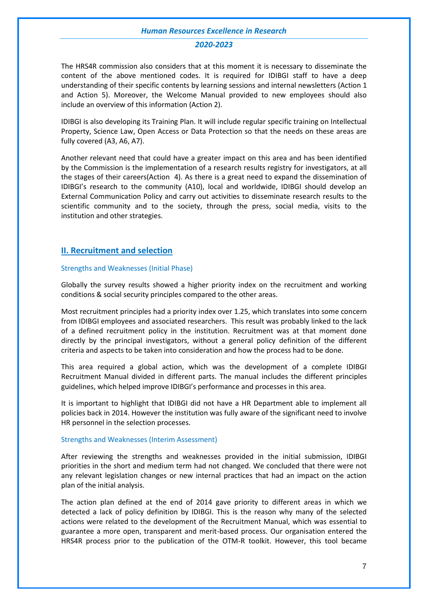#### *2020-2023*

The HRS4R commission also considers that at this moment it is necessary to disseminate the content of the above mentioned codes. It is required for IDIBGI staff to have a deep understanding of their specific contents by learning sessions and internal newsletters (Action 1 and Action 5). Moreover, the Welcome Manual provided to new employees should also include an overview of this information (Action 2).

IDIBGI is also developing its Training Plan. It will include regular specific training on Intellectual Property, Science Law, Open Access or Data Protection so that the needs on these areas are fully covered (A3, A6, A7).

Another relevant need that could have a greater impact on this area and has been identified by the Commission is the implementation of a research results registry for investigators, at all the stages of their careers(Action 4). As there is a great need to expand the dissemination of IDIBGI's research to the community (A10), local and worldwide, IDIBGI should develop an External Communication Policy and carry out activities to disseminate research results to the scientific community and to the society, through the press, social media, visits to the institution and other strategies.

#### **II. Recruitment and selection**

#### Strengths and Weaknesses (Initial Phase)

Globally the survey results showed a higher priority index on the recruitment and working conditions & social security principles compared to the other areas.

Most recruitment principles had a priority index over 1.25, which translates into some concern from IDIBGI employees and associated researchers. This result was probably linked to the lack of a defined recruitment policy in the institution. Recruitment was at that moment done directly by the principal investigators, without a general policy definition of the different criteria and aspects to be taken into consideration and how the process had to be done.

This area required a global action, which was the development of a complete IDIBGI Recruitment Manual divided in different parts. The manual includes the different principles guidelines, which helped improve IDIBGI's performance and processes in this area.

It is important to highlight that IDIBGI did not have a HR Department able to implement all policies back in 2014. However the institution was fully aware of the significant need to involve HR personnel in the selection processes.

#### Strengths and Weaknesses (Interim Assessment)

After reviewing the strengths and weaknesses provided in the initial submission, IDIBGI priorities in the short and medium term had not changed. We concluded that there were not any relevant legislation changes or new internal practices that had an impact on the action plan of the initial analysis.

The action plan defined at the end of 2014 gave priority to different areas in which we detected a lack of policy definition by IDIBGI. This is the reason why many of the selected actions were related to the development of the Recruitment Manual, which was essential to guarantee a more open, transparent and merit-based process. Our organisation entered the HRS4R process prior to the publication of the OTM-R toolkit. However, this tool became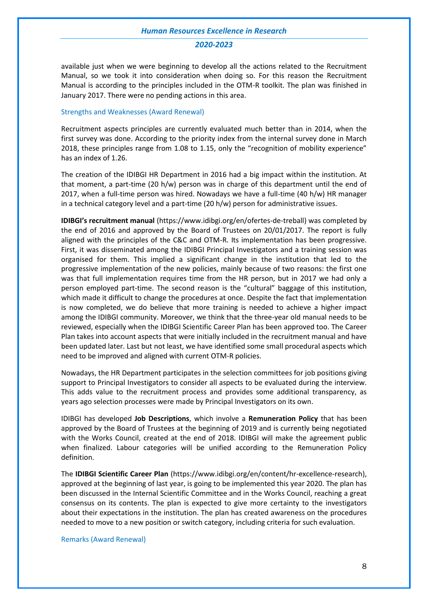#### *2020-2023*

available just when we were beginning to develop all the actions related to the Recruitment Manual, so we took it into consideration when doing so. For this reason the Recruitment Manual is according to the principles included in the OTM-R toolkit. The plan was finished in January 2017. There were no pending actions in this area.

#### Strengths and Weaknesses (Award Renewal)

Recruitment aspects principles are currently evaluated much better than in 2014, when the first survey was done. According to the priority index from the internal survey done in March 2018, these principles range from 1.08 to 1.15, only the "recognition of mobility experience" has an index of 1.26.

The creation of the IDIBGI HR Department in 2016 had a big impact within the institution. At that moment, a part-time (20 h/w) person was in charge of this department until the end of 2017, when a full-time person was hired. Nowadays we have a full-time (40 h/w) HR manager in a technical category level and a part-time (20 h/w) person for administrative issues.

**IDIBGI's recruitment manual** (https://www.idibgi.org/en/ofertes-de-treball) was completed by the end of 2016 and approved by the Board of Trustees on 20/01/2017. The report is fully aligned with the principles of the C&C and OTM-R. Its implementation has been progressive. First, it was disseminated among the IDIBGI Principal Investigators and a training session was organised for them. This implied a significant change in the institution that led to the progressive implementation of the new policies, mainly because of two reasons: the first one was that full implementation requires time from the HR person, but in 2017 we had only a person employed part-time. The second reason is the "cultural" baggage of this institution, which made it difficult to change the procedures at once. Despite the fact that implementation is now completed, we do believe that more training is needed to achieve a higher impact among the IDIBGI community. Moreover, we think that the three-year old manual needs to be reviewed, especially when the IDIBGI Scientific Career Plan has been approved too. The Career Plan takes into account aspects that were initially included in the recruitment manual and have been updated later. Last but not least, we have identified some small procedural aspects which need to be improved and aligned with current OTM-R policies.

Nowadays, the HR Department participates in the selection committees for job positions giving support to Principal Investigators to consider all aspects to be evaluated during the interview. This adds value to the recruitment process and provides some additional transparency, as years ago selection processes were made by Principal Investigators on its own.

IDIBGI has developed **Job Descriptions**, which involve a **Remuneration Policy** that has been approved by the Board of Trustees at the beginning of 2019 and is currently being negotiated with the Works Council, created at the end of 2018. IDIBGI will make the agreement public when finalized. Labour categories will be unified according to the Remuneration Policy definition.

The **IDIBGI Scientific Career Plan** (https://www.idibgi.org/en/content/hr-excellence-research), approved at the beginning of last year, is going to be implemented this year 2020. The plan has been discussed in the Internal Scientific Committee and in the Works Council, reaching a great consensus on its contents. The plan is expected to give more certainty to the investigators about their expectations in the institution. The plan has created awareness on the procedures needed to move to a new position or switch category, including criteria for such evaluation.

Remarks (Award Renewal)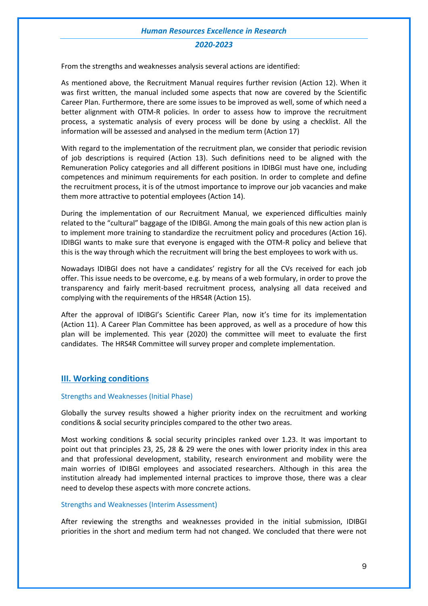#### *2020-2023*

From the strengths and weaknesses analysis several actions are identified:

As mentioned above, the Recruitment Manual requires further revision (Action 12). When it was first written, the manual included some aspects that now are covered by the Scientific Career Plan. Furthermore, there are some issues to be improved as well, some of which need a better alignment with OTM-R policies. In order to assess how to improve the recruitment process, a systematic analysis of every process will be done by using a checklist. All the information will be assessed and analysed in the medium term (Action 17)

With regard to the implementation of the recruitment plan, we consider that periodic revision of job descriptions is required (Action 13). Such definitions need to be aligned with the Remuneration Policy categories and all different positions in IDIBGI must have one, including competences and minimum requirements for each position. In order to complete and define the recruitment process, it is of the utmost importance to improve our job vacancies and make them more attractive to potential employees (Action 14).

During the implementation of our Recruitment Manual, we experienced difficulties mainly related to the "cultural" baggage of the IDIBGI. Among the main goals of this new action plan is to implement more training to standardize the recruitment policy and procedures (Action 16). IDIBGI wants to make sure that everyone is engaged with the OTM-R policy and believe that this is the way through which the recruitment will bring the best employees to work with us.

Nowadays IDIBGI does not have a candidates' registry for all the CVs received for each job offer. This issue needs to be overcome, e.g. by means of a web formulary, in order to prove the transparency and fairly merit-based recruitment process, analysing all data received and complying with the requirements of the HRS4R (Action 15).

After the approval of IDIBGI's Scientific Career Plan, now it's time for its implementation (Action 11). A Career Plan Committee has been approved, as well as a procedure of how this plan will be implemented. This year (2020) the committee will meet to evaluate the first candidates. The HRS4R Committee will survey proper and complete implementation.

#### **III. Working conditions**

#### Strengths and Weaknesses (Initial Phase)

Globally the survey results showed a higher priority index on the recruitment and working conditions & social security principles compared to the other two areas.

Most working conditions & social security principles ranked over 1.23. It was important to point out that principles 23, 25, 28 & 29 were the ones with lower priority index in this area and that professional development, stability, research environment and mobility were the main worries of IDIBGI employees and associated researchers. Although in this area the institution already had implemented internal practices to improve those, there was a clear need to develop these aspects with more concrete actions.

#### Strengths and Weaknesses (Interim Assessment)

After reviewing the strengths and weaknesses provided in the initial submission, IDIBGI priorities in the short and medium term had not changed. We concluded that there were not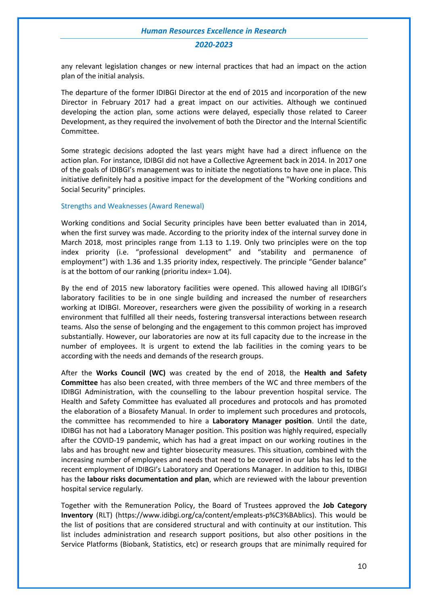#### *2020-2023*

any relevant legislation changes or new internal practices that had an impact on the action plan of the initial analysis.

The departure of the former IDIBGI Director at the end of 2015 and incorporation of the new Director in February 2017 had a great impact on our activities. Although we continued developing the action plan, some actions were delayed, especially those related to Career Development, as they required the involvement of both the Director and the Internal Scientific Committee.

Some strategic decisions adopted the last years might have had a direct influence on the action plan. For instance, IDIBGI did not have a Collective Agreement back in 2014. In 2017 one of the goals of IDIBGI's management was to initiate the negotiations to have one in place. This initiative definitely had a positive impact for the development of the "Working conditions and Social Security" principles.

#### Strengths and Weaknesses (Award Renewal)

Working conditions and Social Security principles have been better evaluated than in 2014, when the first survey was made. According to the priority index of the internal survey done in March 2018, most principles range from 1.13 to 1.19. Only two principles were on the top index priority (i.e. "professional development" and "stability and permanence of employment") with 1.36 and 1.35 priority index, respectively. The principle "Gender balance" is at the bottom of our ranking (prioritu index= 1.04).

By the end of 2015 new laboratory facilities were opened. This allowed having all IDIBGI's laboratory facilities to be in one single building and increased the number of researchers working at IDIBGI. Moreover, researchers were given the possibility of working in a research environment that fulfilled all their needs, fostering transversal interactions between research teams. Also the sense of belonging and the engagement to this common project has improved substantially. However, our laboratories are now at its full capacity due to the increase in the number of employees. It is urgent to extend the lab facilities in the coming years to be according with the needs and demands of the research groups.

After the **Works Council (WC)** was created by the end of 2018, the **Health and Safety Committee** has also been created, with three members of the WC and three members of the IDIBGI Administration, with the counselling to the labour prevention hospital service. The Health and Safety Committee has evaluated all procedures and protocols and has promoted the elaboration of a Biosafety Manual. In order to implement such procedures and protocols, the committee has recommended to hire a **Laboratory Manager position**. Until the date, IDIBGI has not had a Laboratory Manager position. This position was highly required, especially after the COVID-19 pandemic, which has had a great impact on our working routines in the labs and has brought new and tighter biosecurity measures. This situation, combined with the increasing number of employees and needs that need to be covered in our labs has led to the recent employment of IDIBGI's Laboratory and Operations Manager. In addition to this, IDIBGI has the **labour risks documentation and plan**, which are reviewed with the labour prevention hospital service regularly.

Together with the Remuneration Policy, the Board of Trustees approved the **Job Category Inventory** (RLT) (https://www.idibgi.org/ca/content/empleats-p%C3%BAblics). This would be the list of positions that are considered structural and with continuity at our institution. This list includes administration and research support positions, but also other positions in the Service Platforms (Biobank, Statistics, etc) or research groups that are minimally required for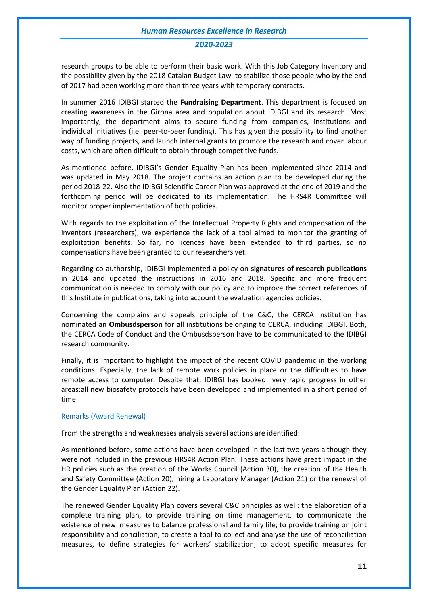#### *2020-2023*

research groups to be able to perform their basic work. With this Job Category Inventory and the possibility given by the 2018 Catalan Budget Law to stabilize those people who by the end of 2017 had been working more than three years with temporary contracts.

In summer 2016 IDIBGI started the **Fundraising Department**. This department is focused on creating awareness in the Girona area and population about IDIBGI and its research. Most importantly, the department aims to secure funding from companies, institutions and individual initiatives (i.e. peer-to-peer funding). This has given the possibility to find another way of funding projects, and launch internal grants to promote the research and cover labour costs, which are often difficult to obtain through competitive funds.

As mentioned before, IDIBGI's Gender Equality Plan has been implemented since 2014 and was updated in May 2018. The project contains an action plan to be developed during the period 2018-22. Also the IDIBGI Scientific Career Plan was approved at the end of 2019 and the forthcoming period will be dedicated to its implementation. The HRS4R Committee will monitor proper implementation of both policies.

With regards to the exploitation of the Intellectual Property Rights and compensation of the inventors (researchers), we experience the lack of a tool aimed to monitor the granting of exploitation benefits. So far, no licences have been extended to third parties, so no compensations have been granted to our researchers yet.

Regarding co-authorship, IDIBGI implemented a policy on **signatures of research publications**  in 2014 and updated the instructions in 2016 and 2018. Specific and more frequent communication is needed to comply with our policy and to improve the correct references of this Institute in publications, taking into account the evaluation agencies policies.

Concerning the complains and appeals principle of the C&C, the CERCA institution has nominated an **Ombusdsperson** for all institutions belonging to CERCA, including IDIBGI. Both, the CERCA Code of Conduct and the Ombusdsperson have to be communicated to the IDIBGI research community.

Finally, it is important to highlight the impact of the recent COVID pandemic in the working conditions. Especially, the lack of remote work policies in place or the difficulties to have remote access to computer. Despite that, IDIBGI has booked very rapid progress in other areas:all new biosafety protocols have been developed and implemented in a short period of time

#### Remarks (Award Renewal)

From the strengths and weaknesses analysis several actions are identified:

As mentioned before, some actions have been developed in the last two years although they were not included in the previous HRS4R Action Plan. These actions have great impact in the HR policies such as the creation of the Works Council (Action 30), the creation of the Health and Safety Committee (Action 20), hiring a Laboratory Manager (Action 21) or the renewal of the Gender Equality Plan (Action 22).

The renewed Gender Equality Plan covers several C&C principles as well: the elaboration of a complete training plan, to provide training on time management, to communicate the existence of new measures to balance professional and family life, to provide training on joint responsibility and conciliation, to create a tool to collect and analyse the use of reconciliation measures, to define strategies for workers' stabilization, to adopt specific measures for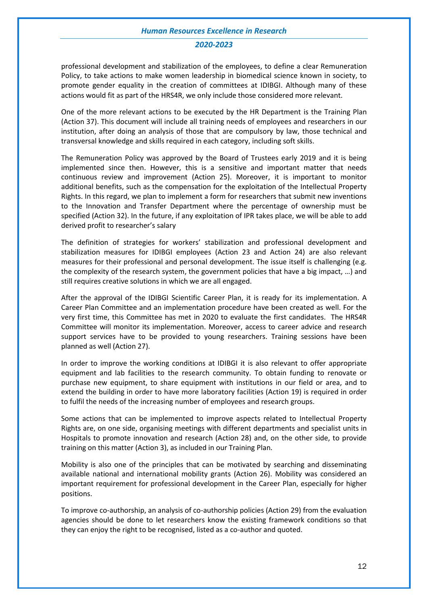#### *2020-2023*

professional development and stabilization of the employees, to define a clear Remuneration Policy, to take actions to make women leadership in biomedical science known in society, to promote gender equality in the creation of committees at IDIBGI. Although many of these actions would fit as part of the HRS4R, we only include those considered more relevant.

One of the more relevant actions to be executed by the HR Department is the Training Plan (Action 37). This document will include all training needs of employees and researchers in our institution, after doing an analysis of those that are compulsory by law, those technical and transversal knowledge and skills required in each category, including soft skills.

The Remuneration Policy was approved by the Board of Trustees early 2019 and it is being implemented since then. However, this is a sensitive and important matter that needs continuous review and improvement (Action 25). Moreover, it is important to monitor additional benefits, such as the compensation for the exploitation of the Intellectual Property Rights. In this regard, we plan to implement a form for researchers that submit new inventions to the Innovation and Transfer Department where the percentage of ownership must be specified (Action 32). In the future, if any exploitation of IPR takes place, we will be able to add derived profit to researcher's salary

The definition of strategies for workers' stabilization and professional development and stabilization measures for IDIBGI employees (Action 23 and Action 24) are also relevant measures for their professional and personal development. The issue itself is challenging (e.g. the complexity of the research system, the government policies that have a big impact, …) and still requires creative solutions in which we are all engaged.

After the approval of the IDIBGI Scientific Career Plan, it is ready for its implementation. A Career Plan Committee and an implementation procedure have been created as well. For the very first time, this Committee has met in 2020 to evaluate the first candidates. The HRS4R Committee will monitor its implementation. Moreover, access to career advice and research support services have to be provided to young researchers. Training sessions have been planned as well (Action 27).

In order to improve the working conditions at IDIBGI it is also relevant to offer appropriate equipment and lab facilities to the research community. To obtain funding to renovate or purchase new equipment, to share equipment with institutions in our field or area, and to extend the building in order to have more laboratory facilities (Action 19) is required in order to fulfil the needs of the increasing number of employees and research groups.

Some actions that can be implemented to improve aspects related to Intellectual Property Rights are, on one side, organising meetings with different departments and specialist units in Hospitals to promote innovation and research (Action 28) and, on the other side, to provide training on this matter (Action 3), as included in our Training Plan.

Mobility is also one of the principles that can be motivated by searching and disseminating available national and international mobility grants (Action 26). Mobility was considered an important requirement for professional development in the Career Plan, especially for higher positions.

To improve co-authorship, an analysis of co-authorship policies (Action 29) from the evaluation agencies should be done to let researchers know the existing framework conditions so that they can enjoy the right to be recognised, listed as a co-author and quoted.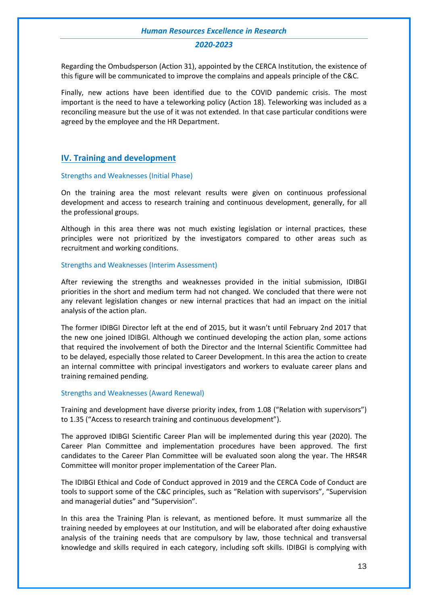#### *2020-2023*

Regarding the Ombudsperson (Action 31), appointed by the CERCA Institution, the existence of this figure will be communicated to improve the complains and appeals principle of the C&C.

Finally, new actions have been identified due to the COVID pandemic crisis. The most important is the need to have a teleworking policy (Action 18). Teleworking was included as a reconciling measure but the use of it was not extended. In that case particular conditions were agreed by the employee and the HR Department.

#### **IV. Training and development**

#### Strengths and Weaknesses (Initial Phase)

On the training area the most relevant results were given on continuous professional development and access to research training and continuous development, generally, for all the professional groups.

Although in this area there was not much existing legislation or internal practices, these principles were not prioritized by the investigators compared to other areas such as recruitment and working conditions.

#### Strengths and Weaknesses (Interim Assessment)

After reviewing the strengths and weaknesses provided in the initial submission, IDIBGI priorities in the short and medium term had not changed. We concluded that there were not any relevant legislation changes or new internal practices that had an impact on the initial analysis of the action plan.

The former IDIBGI Director left at the end of 2015, but it wasn't until February 2nd 2017 that the new one joined IDIBGI. Although we continued developing the action plan, some actions that required the involvement of both the Director and the Internal Scientific Committee had to be delayed, especially those related to Career Development. In this area the action to create an internal committee with principal investigators and workers to evaluate career plans and training remained pending.

#### Strengths and Weaknesses (Award Renewal)

Training and development have diverse priority index, from 1.08 ("Relation with supervisors") to 1.35 ("Access to research training and continuous development").

The approved IDIBGI Scientific Career Plan will be implemented during this year (2020). The Career Plan Committee and implementation procedures have been approved. The first candidates to the Career Plan Committee will be evaluated soon along the year. The HRS4R Committee will monitor proper implementation of the Career Plan.

The IDIBGI Ethical and Code of Conduct approved in 2019 and the CERCA Code of Conduct are tools to support some of the C&C principles, such as "Relation with supervisors", "Supervision and managerial duties" and "Supervision".

In this area the Training Plan is relevant, as mentioned before. It must summarize all the training needed by employees at our Institution, and will be elaborated after doing exhaustive analysis of the training needs that are compulsory by law, those technical and transversal knowledge and skills required in each category, including soft skills. IDIBGI is complying with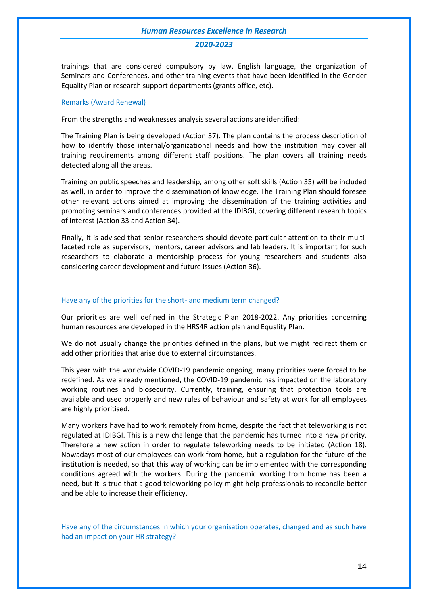#### *2020-2023*

trainings that are considered compulsory by law, English language, the organization of Seminars and Conferences, and other training events that have been identified in the Gender Equality Plan or research support departments (grants office, etc).

#### Remarks (Award Renewal)

From the strengths and weaknesses analysis several actions are identified:

The Training Plan is being developed (Action 37). The plan contains the process description of how to identify those internal/organizational needs and how the institution may cover all training requirements among different staff positions. The plan covers all training needs detected along all the areas.

Training on public speeches and leadership, among other soft skills (Action 35) will be included as well, in order to improve the dissemination of knowledge. The Training Plan should foresee other relevant actions aimed at improving the dissemination of the training activities and promoting seminars and conferences provided at the IDIBGI, covering different research topics of interest (Action 33 and Action 34).

Finally, it is advised that senior researchers should devote particular attention to their multifaceted role as supervisors, mentors, career advisors and lab leaders. It is important for such researchers to elaborate a mentorship process for young researchers and students also considering career development and future issues (Action 36).

#### Have any of the priorities for the short- and medium term changed?

Our priorities are well defined in the Strategic Plan 2018-2022. Any priorities concerning human resources are developed in the HRS4R action plan and Equality Plan.

We do not usually change the priorities defined in the plans, but we might redirect them or add other priorities that arise due to external circumstances.

This year with the worldwide COVID-19 pandemic ongoing, many priorities were forced to be redefined. As we already mentioned, the COVID-19 pandemic has impacted on the laboratory working routines and biosecurity. Currently, training, ensuring that protection tools are available and used properly and new rules of behaviour and safety at work for all employees are highly prioritised.

Many workers have had to work remotely from home, despite the fact that teleworking is not regulated at IDIBGI. This is a new challenge that the pandemic has turned into a new priority. Therefore a new action in order to regulate teleworking needs to be initiated (Action 18). Nowadays most of our employees can work from home, but a regulation for the future of the institution is needed, so that this way of working can be implemented with the corresponding conditions agreed with the workers. During the pandemic working from home has been a need, but it is true that a good teleworking policy might help professionals to reconcile better and be able to increase their efficiency.

Have any of the circumstances in which your organisation operates, changed and as such have had an impact on your HR strategy?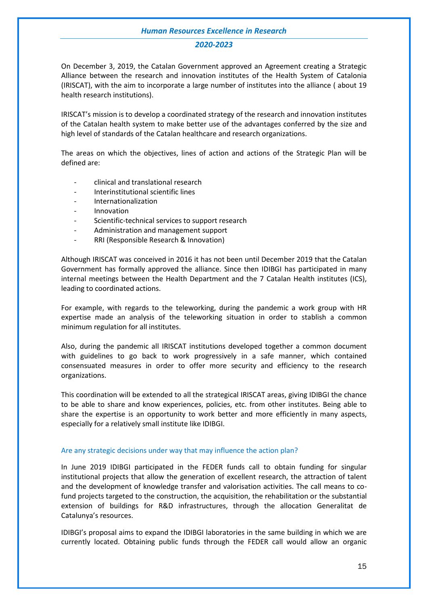#### *2020-2023*

On December 3, 2019, the Catalan Government approved an Agreement creating a Strategic Alliance between the research and innovation institutes of the Health System of Catalonia (IRISCAT), with the aim to incorporate a large number of institutes into the alliance ( about 19 health research institutions).

IRISCAT's mission is to develop a coordinated strategy of the research and innovation institutes of the Catalan health system to make better use of the advantages conferred by the size and high level of standards of the Catalan healthcare and research organizations.

The areas on which the objectives, lines of action and actions of the Strategic Plan will be defined are:

- clinical and translational research
- Interinstitutional scientific lines
- Internationalization
- Innovation
- Scientific-technical services to support research
- Administration and management support
- RRI (Responsible Research & Innovation)

Although IRISCAT was conceived in 2016 it has not been until December 2019 that the Catalan Government has formally approved the alliance. Since then IDIBGI has participated in many internal meetings between the Health Department and the 7 Catalan Health institutes (ICS), leading to coordinated actions.

For example, with regards to the teleworking, during the pandemic a work group with HR expertise made an analysis of the teleworking situation in order to stablish a common minimum regulation for all institutes.

Also, during the pandemic all IRISCAT institutions developed together a common document with guidelines to go back to work progressively in a safe manner, which contained consensuated measures in order to offer more security and efficiency to the research organizations.

This coordination will be extended to all the strategical IRISCAT areas, giving IDIBGI the chance to be able to share and know experiences, policies, etc. from other institutes. Being able to share the expertise is an opportunity to work better and more efficiently in many aspects, especially for a relatively small institute like IDIBGI.

#### Are any strategic decisions under way that may influence the action plan?

In June 2019 IDIBGI participated in the FEDER funds call to obtain funding for singular institutional projects that allow the generation of excellent research, the attraction of talent and the development of knowledge transfer and valorisation activities. The call means to cofund projects targeted to the construction, the acquisition, the rehabilitation or the substantial extension of buildings for R&D infrastructures, through the allocation Generalitat de Catalunya's resources.

IDIBGI's proposal aims to expand the IDIBGI laboratories in the same building in which we are currently located. Obtaining public funds through the FEDER call would allow an organic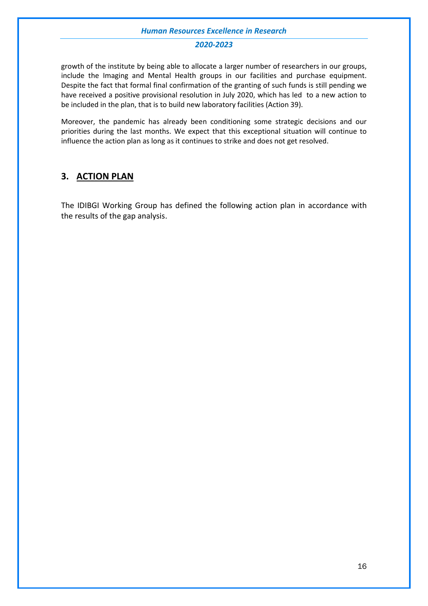#### *2020-2023*

growth of the institute by being able to allocate a larger number of researchers in our groups, include the Imaging and Mental Health groups in our facilities and purchase equipment. Despite the fact that formal final confirmation of the granting of such funds is still pending we have received a positive provisional resolution in July 2020, which has led to a new action to be included in the plan, that is to build new laboratory facilities (Action 39).

Moreover, the pandemic has already been conditioning some strategic decisions and our priorities during the last months. We expect that this exceptional situation will continue to influence the action plan as long as it continues to strike and does not get resolved.

## <span id="page-16-0"></span>**3. ACTION PLAN**

The IDIBGI Working Group has defined the following action plan in accordance with the results of the gap analysis.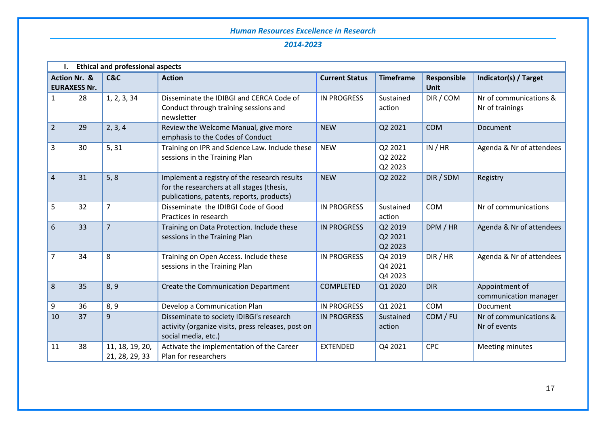|                         | <b>Ethical and professional aspects</b> |                                   |                                                                                                                                         |                       |                               |                            |                                           |
|-------------------------|-----------------------------------------|-----------------------------------|-----------------------------------------------------------------------------------------------------------------------------------------|-----------------------|-------------------------------|----------------------------|-------------------------------------------|
| <b>Action Nr. &amp;</b> | <b>EURAXESS Nr.</b>                     | <b>C&amp;C</b>                    | <b>Action</b>                                                                                                                           | <b>Current Status</b> | <b>Timeframe</b>              | Responsible<br><b>Unit</b> | Indicator(s) / Target                     |
| 1                       | 28                                      | 1, 2, 3, 34                       | Disseminate the IDIBGI and CERCA Code of<br>Conduct through training sessions and<br>newsletter                                         | <b>IN PROGRESS</b>    | Sustained<br>action           | DIR / COM                  | Nr of communications &<br>Nr of trainings |
| $\overline{2}$          | 29                                      | 2, 3, 4                           | Review the Welcome Manual, give more<br>emphasis to the Codes of Conduct                                                                | <b>NEW</b>            | Q2 2021                       | <b>COM</b>                 | Document                                  |
| 3                       | 30                                      | 5, 31                             | Training on IPR and Science Law. Include these<br>sessions in the Training Plan                                                         | <b>NEW</b>            | Q2 2021<br>Q2 2022<br>Q2 2023 | IN / HR                    | Agenda & Nr of attendees                  |
| 4                       | 31                                      | 5, 8                              | Implement a registry of the research results<br>for the researchers at all stages (thesis,<br>publications, patents, reports, products) | <b>NEW</b>            | Q2 2022                       | DIR / SDM                  | Registry                                  |
| 5                       | 32                                      | $\overline{7}$                    | Disseminate the IDIBGI Code of Good<br>Practices in research                                                                            | <b>IN PROGRESS</b>    | Sustained<br>action           | <b>COM</b>                 | Nr of communications                      |
| 6                       | 33                                      | $\overline{7}$                    | Training on Data Protection. Include these<br>sessions in the Training Plan                                                             | <b>IN PROGRESS</b>    | Q2 2019<br>Q2 2021<br>Q2 2023 | DPM / HR                   | Agenda & Nr of attendees                  |
| 7                       | 34                                      | 8                                 | Training on Open Access. Include these<br>sessions in the Training Plan                                                                 | <b>IN PROGRESS</b>    | Q4 2019<br>Q4 2021<br>Q4 2023 | DIR / HR                   | Agenda & Nr of attendees                  |
| 8                       | 35                                      | 8, 9                              | Create the Communication Department                                                                                                     | <b>COMPLETED</b>      | Q1 2020                       | <b>DIR</b>                 | Appointment of<br>communication manager   |
| 9                       | 36                                      | 8, 9                              | Develop a Communication Plan                                                                                                            | <b>IN PROGRESS</b>    | Q1 2021                       | <b>COM</b>                 | Document                                  |
| 10                      | 37                                      | 9                                 | Disseminate to society IDIBGI's research<br>activity (organize visits, press releases, post on<br>social media, etc.)                   | <b>IN PROGRESS</b>    | Sustained<br>action           | COM / FU                   | Nr of communications &<br>Nr of events    |
| 11                      | 38                                      | 11, 18, 19, 20,<br>21, 28, 29, 33 | Activate the implementation of the Career<br>Plan for researchers                                                                       | <b>EXTENDED</b>       | Q4 2021                       | <b>CPC</b>                 | Meeting minutes                           |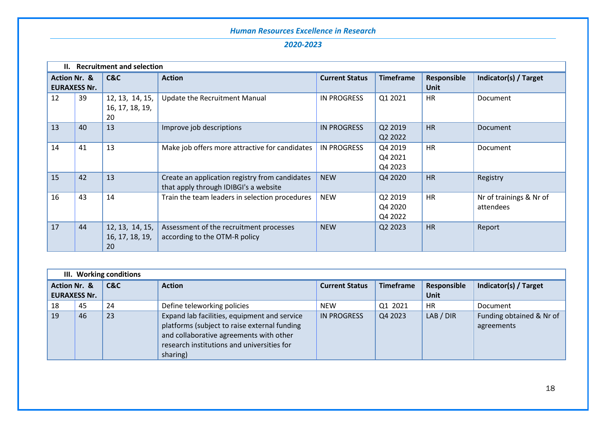| Н.                      | <b>Recruitment and selection</b> |                                          |                                                                                         |                       |                               |                            |                                      |
|-------------------------|----------------------------------|------------------------------------------|-----------------------------------------------------------------------------------------|-----------------------|-------------------------------|----------------------------|--------------------------------------|
| <b>Action Nr. &amp;</b> | <b>EURAXESS Nr.</b>              | C&C                                      | <b>Action</b>                                                                           | <b>Current Status</b> | <b>Timeframe</b>              | Responsible<br><b>Unit</b> | Indicator(s) / Target                |
| 12                      | 39                               | 12, 13, 14, 15,<br>16, 17, 18, 19,<br>20 | Update the Recruitment Manual                                                           | IN PROGRESS           | Q1 2021                       | <b>HR</b>                  | Document                             |
| 13                      | 40                               | 13                                       | Improve job descriptions                                                                | <b>IN PROGRESS</b>    | Q2 2019<br>Q2 2022            | <b>HR</b>                  | Document                             |
| 14                      | 41                               | 13                                       | Make job offers more attractive for candidates                                          | <b>IN PROGRESS</b>    | Q4 2019<br>Q4 2021<br>Q4 2023 | <b>HR</b>                  | Document                             |
| 15                      | 42                               | 13                                       | Create an application registry from candidates<br>that apply through IDIBGI's a website | <b>NEW</b>            | Q4 2020                       | <b>HR</b>                  | Registry                             |
| 16                      | 43                               | 14                                       | Train the team leaders in selection procedures                                          | <b>NEW</b>            | Q2 2019<br>Q4 2020<br>Q4 2022 | <b>HR</b>                  | Nr of trainings & Nr of<br>attendees |
| 17                      | 44                               | 12, 13, 14, 15,<br>16, 17, 18, 19,<br>20 | Assessment of the recruitment processes<br>according to the OTM-R policy                | <b>NEW</b>            | Q2 2023                       | <b>HR</b>                  | Report                               |

|                         |                     | III. Working conditions |                                                                                                                                                                                                   |                       |                  |                     |                                        |
|-------------------------|---------------------|-------------------------|---------------------------------------------------------------------------------------------------------------------------------------------------------------------------------------------------|-----------------------|------------------|---------------------|----------------------------------------|
| <b>Action Nr. &amp;</b> | <b>EURAXESS Nr.</b> | C&C                     | <b>Action</b>                                                                                                                                                                                     | <b>Current Status</b> | <b>Timeframe</b> | Responsible<br>Unit | Indicator(s) / Target                  |
| 18                      | 45                  | 24                      | Define teleworking policies                                                                                                                                                                       | <b>NEW</b>            | Q1 2021          | HR.                 | Document                               |
| 19                      | 46                  | 23                      | Expand lab facilities, equipment and service<br>platforms (subject to raise external funding<br>and collaborative agreements with other<br>research institutions and universities for<br>sharing) | IN PROGRESS           | Q4 2023          | LAB / DIR           | Funding obtained & Nr of<br>agreements |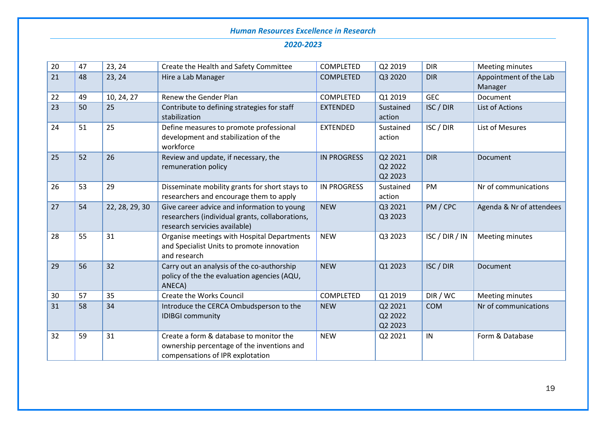| 20 | 47 | 23, 24         | Create the Health and Safety Committee                                                                                          | <b>COMPLETED</b>   | Q2 2019                       | <b>DIR</b>     | Meeting minutes                   |
|----|----|----------------|---------------------------------------------------------------------------------------------------------------------------------|--------------------|-------------------------------|----------------|-----------------------------------|
| 21 | 48 | 23, 24         | Hire a Lab Manager                                                                                                              | <b>COMPLETED</b>   | Q3 2020                       | <b>DIR</b>     | Appointment of the Lab<br>Manager |
| 22 | 49 | 10, 24, 27     | Renew the Gender Plan                                                                                                           | COMPLETED          | Q1 2019                       | <b>GEC</b>     | Document                          |
| 23 | 50 | 25             | Contribute to defining strategies for staff<br>stabilization                                                                    | <b>EXTENDED</b>    | Sustained<br>action           | ISC / DIR      | List of Actions                   |
| 24 | 51 | 25             | Define measures to promote professional<br>development and stabilization of the<br>workforce                                    | <b>EXTENDED</b>    | Sustained<br>action           | ISC / DIR      | List of Mesures                   |
| 25 | 52 | 26             | Review and update, if necessary, the<br>remuneration policy                                                                     | <b>IN PROGRESS</b> | Q2 2021<br>Q2 2022<br>Q2 2023 | <b>DIR</b>     | Document                          |
| 26 | 53 | 29             | Disseminate mobility grants for short stays to<br>researchers and encourage them to apply                                       | <b>IN PROGRESS</b> | Sustained<br>action           | PM             | Nr of communications              |
| 27 | 54 | 22, 28, 29, 30 | Give career advice and information to young<br>researchers (individual grants, collaborations,<br>research servicies available) | <b>NEW</b>         | Q3 2021<br>Q3 2023            | PM / CPC       | Agenda & Nr of attendees          |
| 28 | 55 | 31             | Organise meetings with Hospital Departments<br>and Specialist Units to promote innovation<br>and research                       | <b>NEW</b>         | Q3 2023                       | ISC / DIR / IN | Meeting minutes                   |
| 29 | 56 | 32             | Carry out an analysis of the co-authorship<br>policy of the the evaluation agencies (AQU,<br>ANECA)                             | <b>NEW</b>         | Q1 2023                       | ISC / DIR      | Document                          |
| 30 | 57 | 35             | Create the Works Council                                                                                                        | COMPLETED          | Q1 2019                       | DIR / WC       | Meeting minutes                   |
| 31 | 58 | 34             | Introduce the CERCA Ombudsperson to the<br><b>IDIBGI community</b>                                                              | <b>NEW</b>         | Q2 2021<br>Q2 2022<br>Q2 2023 | <b>COM</b>     | Nr of communications              |
| 32 | 59 | 31             | Create a form & database to monitor the<br>ownership percentage of the inventions and<br>compensations of IPR explotation       | <b>NEW</b>         | Q2 2021                       | IN             | Form & Database                   |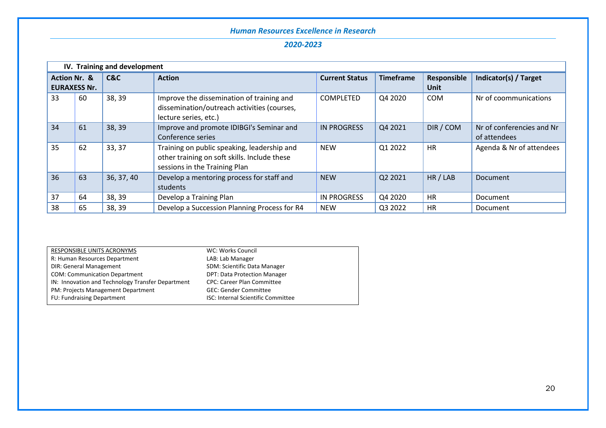|                         | IV. Training and development |            |                                                                                                                              |                       |                  |                            |                                           |
|-------------------------|------------------------------|------------|------------------------------------------------------------------------------------------------------------------------------|-----------------------|------------------|----------------------------|-------------------------------------------|
| <b>Action Nr. &amp;</b> | <b>EURAXESS Nr.</b>          | C&C        | <b>Action</b>                                                                                                                | <b>Current Status</b> | <b>Timeframe</b> | Responsible<br><b>Unit</b> | Indicator(s) / Target                     |
| 33                      | 60                           | 38, 39     | Improve the dissemination of training and<br>dissemination/outreach activities (courses,<br>lecture series, etc.)            | <b>COMPLETED</b>      | Q4 2020          | <b>COM</b>                 | Nr of coommunications                     |
| 34                      | 61                           | 38, 39     | Improve and promote IDIBGI's Seminar and<br>Conference series                                                                | <b>IN PROGRESS</b>    | Q4 2021          | DIR / COM                  | Nr of conferencies and Nr<br>of attendees |
| 35                      | 62                           | 33, 37     | Training on public speaking, leadership and<br>other training on soft skills. Include these<br>sessions in the Training Plan | <b>NEW</b>            | Q1 2022          | <b>HR</b>                  | Agenda & Nr of attendees                  |
| 36                      | 63                           | 36, 37, 40 | Develop a mentoring process for staff and<br>students                                                                        | <b>NEW</b>            | Q2 2021          | HR / LAB                   | Document                                  |
| 37                      | 64                           | 38, 39     | Develop a Training Plan                                                                                                      | IN PROGRESS           | Q4 2020          | <b>HR</b>                  | Document                                  |
| 38                      | 65                           | 38, 39     | Develop a Succession Planning Process for R4                                                                                 | <b>NEW</b>            | Q3 2022          | <b>HR</b>                  | Document                                  |

| RESPONSIBLE UNITS ACRONYMS                        | WC: Works Council                         |
|---------------------------------------------------|-------------------------------------------|
| R: Human Resources Department                     | LAB: Lab Manager                          |
| <b>DIR: General Management</b>                    | SDM: Scientific Data Manager              |
| <b>COM: Communication Department</b>              | <b>DPT: Data Protection Manager</b>       |
| IN: Innovation and Technology Transfer Department | <b>CPC: Career Plan Committee</b>         |
| PM: Projects Management Department                | <b>GEC: Gender Committee</b>              |
| FU: Fundraising Department                        | <b>ISC: Internal Scientific Committee</b> |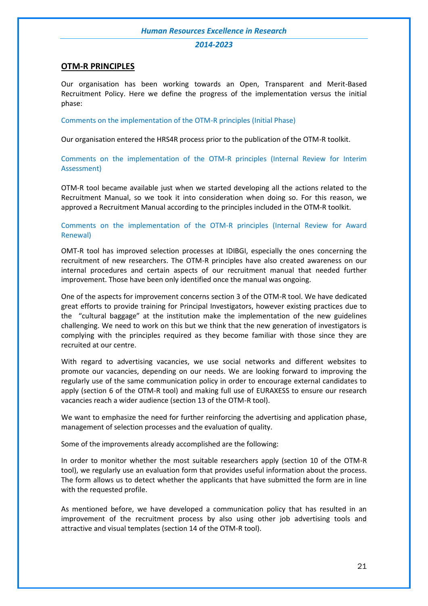#### *2014-2023*

#### **OTM-R PRINCIPLES**

Our organisation has been working towards an Open, Transparent and Merit-Based Recruitment Policy. Here we define the progress of the implementation versus the initial phase:

#### Comments on the implementation of the OTM-R principles (Initial Phase)

Our organisation entered the HRS4R process prior to the publication of the OTM-R toolkit.

Comments on the implementation of the OTM-R principles (Internal Review for Interim Assessment)

OTM-R tool became available just when we started developing all the actions related to the Recruitment Manual, so we took it into consideration when doing so. For this reason, we approved a Recruitment Manual according to the principles included in the OTM-R toolkit.

Comments on the implementation of the OTM-R principles (Internal Review for Award Renewal)

OMT-R tool has improved selection processes at IDIBGI, especially the ones concerning the recruitment of new researchers. The OTM-R principles have also created awareness on our internal procedures and certain aspects of our recruitment manual that needed further improvement. Those have been only identified once the manual was ongoing.

One of the aspects for improvement concerns section 3 of the OTM-R tool. We have dedicated great efforts to provide training for Principal Investigators, however existing practices due to the "cultural baggage" at the institution make the implementation of the new guidelines challenging. We need to work on this but we think that the new generation of investigators is complying with the principles required as they become familiar with those since they are recruited at our centre.

With regard to advertising vacancies, we use social networks and different websites to promote our vacancies, depending on our needs. We are looking forward to improving the regularly use of the same communication policy in order to encourage external candidates to apply (section 6 of the OTM-R tool) and making full use of EURAXESS to ensure our research vacancies reach a wider audience (section 13 of the OTM-R tool).

We want to emphasize the need for further reinforcing the advertising and application phase, management of selection processes and the evaluation of quality.

Some of the improvements already accomplished are the following:

In order to monitor whether the most suitable researchers apply (section 10 of the OTM-R tool), we regularly use an evaluation form that provides useful information about the process. The form allows us to detect whether the applicants that have submitted the form are in line with the requested profile.

As mentioned before, we have developed a communication policy that has resulted in an improvement of the recruitment process by also using other job advertising tools and attractive and visual templates (section 14 of the OTM-R tool).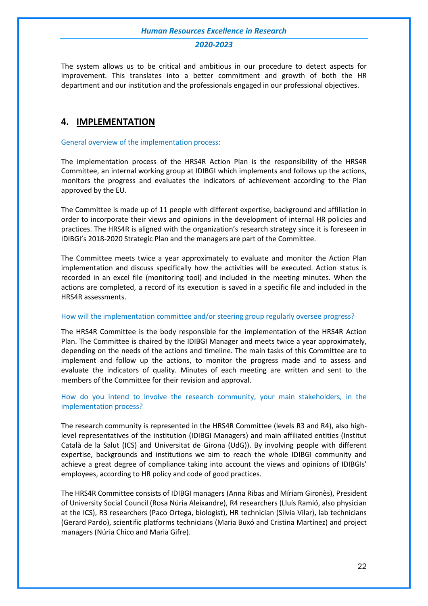#### *2020-2023*

The system allows us to be critical and ambitious in our procedure to detect aspects for improvement. This translates into a better commitment and growth of both the HR department and our institution and the professionals engaged in our professional objectives.

## <span id="page-22-0"></span>**4. IMPLEMENTATION**

#### General overview of the implementation process:

The implementation process of the HRS4R Action Plan is the responsibility of the HRS4R Committee, an internal working group at IDIBGI which implements and follows up the actions, monitors the progress and evaluates the indicators of achievement according to the Plan approved by the EU.

The Committee is made up of 11 people with different expertise, background and affiliation in order to incorporate their views and opinions in the development of internal HR policies and practices. The HRS4R is aligned with the organization's research strategy since it is foreseen in IDIBGI's 2018-2020 Strategic Plan and the managers are part of the Committee.

The Committee meets twice a year approximately to evaluate and monitor the Action Plan implementation and discuss specifically how the activities will be executed. Action status is recorded in an excel file (monitoring tool) and included in the meeting minutes. When the actions are completed, a record of its execution is saved in a specific file and included in the HRS4R assessments.

#### How will the implementation committee and/or steering group regularly oversee progress?

The HRS4R Committee is the body responsible for the implementation of the HRS4R Action Plan. The Committee is chaired by the IDIBGI Manager and meets twice a year approximately, depending on the needs of the actions and timeline. The main tasks of this Committee are to implement and follow up the actions, to monitor the progress made and to assess and evaluate the indicators of quality. Minutes of each meeting are written and sent to the members of the Committee for their revision and approval.

#### How do you intend to involve the research community, your main stakeholders, in the implementation process?

The research community is represented in the HRS4R Committee (levels R3 and R4), also highlevel representatives of the institution (IDIBGI Managers) and main affiliated entities (Institut Català de la Salut (ICS) and Universitat de Girona (UdG)). By involving people with different expertise, backgrounds and institutions we aim to reach the whole IDIBGI community and achieve a great degree of compliance taking into account the views and opinions of IDIBGIs' employees, according to HR policy and code of good practices.

The HRS4R Committee consists of IDIBGI managers (Anna Ribas and Míriam Gironès), President of University Social Council (Rosa Núria Aleixandre), R4 researchers (Lluís Ramió, also physician at the ICS), R3 researchers (Paco Ortega, biologist), HR technician (Sílvia Vilar), lab technicians (Gerard Pardo), scientific platforms technicians (Maria Buxó and Cristina Martínez) and project managers (Núria Chico and Maria Gifre).